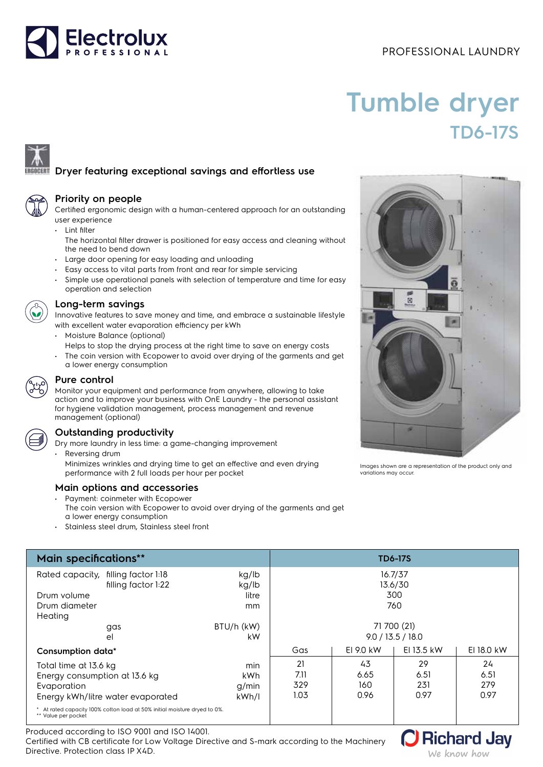# PROFESSIONAL LAUNDRY



# **Tumble dryer TD6-17S**



# **Dryer featuring exceptional savings and effortless use**

# **Priority on people**

Certified ergonomic design with a human-centered approach for an outstanding user experience

• Lint filter

The horizontal filter drawer is positioned for easy access and cleaning without the need to bend down

- Large door opening for easy loading and unloading
- Easy access to vital parts from front and rear for simple servicing
- Simple use operational panels with selection of temperature and time for easy operation and selection



### **Long-term savings**

Innovative features to save money and time, and embrace a sustainable lifestyle with excellent water evaporation efficiency per kWh

- Moisture Balance (optional)
	- Helps to stop the drying process at the right time to save on energy costs
- The coin version with Ecopower to avoid over drying of the garments and get a lower energy consumption



## **Pure control**

Monitor your equipment and performance from anywhere, allowing to take action and to improve your business with OnE Laundry - the personal assistant for hygiene validation management, process management and revenue management (optional)



# **Outstanding productivity**

- Dry more laundry in less time: a game-changing improvement Reversing drum
	- Minimizes wrinkles and drying time to get an effective and even drying performance with 2 full loads per hour per pocket

# **Main options and accessories**

- Payment: coinmeter with Ecopower The coin version with Ecopower to avoid over drying of the garments and get a lower energy consumption
- Stainless steel drum, Stainless steel front

| <b>Main specifications**</b>                                                                     |                | <b>TD6-17S</b>     |           |            |            |
|--------------------------------------------------------------------------------------------------|----------------|--------------------|-----------|------------|------------|
| Rated capacity, filling factor 1:18<br>filling factor 1:22                                       | kg/lb<br>kg/lb | 16.7/37<br>13.6/30 |           |            |            |
| Drum volume                                                                                      | litre          | 300                |           |            |            |
| Drum diameter<br>Heating                                                                         | mm             | 760                |           |            |            |
| gas                                                                                              | BTU/h (kW)     | 71 700 (21)        |           |            |            |
| el                                                                                               | kW             | 9.0 / 13.5 / 18.0  |           |            |            |
| Consumption data*                                                                                |                | Gas                | EI 9.0 kW | EI 13.5 kW | EI 18.0 kW |
| Total time at 13.6 kg                                                                            | min            | 21                 | 43        | 29         | 24         |
| Energy consumption at 13.6 kg                                                                    | kWh            | 7.11               | 6.65      | 6.51       | 6.51       |
| Evaporation                                                                                      | g/min          | 329                | 160       | 231        | 279        |
| Energy kWh/litre water evaporated                                                                | kWh/l          | 1.03               | 0.96      | 0.97       | 0.97       |
| * At rated capacity 100% cotton load at 50% initial moisture dryed to 0%.<br>** Value per pocket |                |                    |           |            |            |

Produced according to ISO 9001 and ISO 14001.

Certified with CB certificate for Low Voltage Directive and S-mark according to the Machinery Directive. Protection class IP X4D.



Images shown are a representation of the product only and variations may occur.